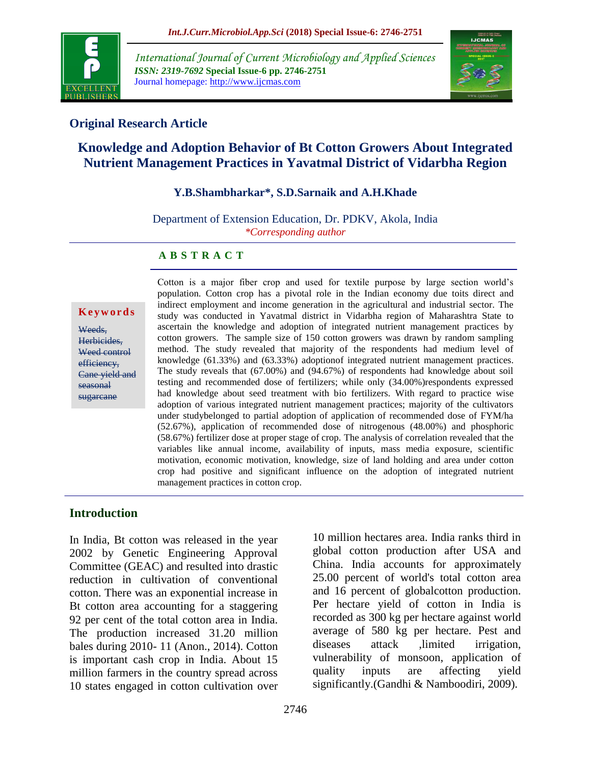

*International Journal of Current Microbiology and Applied Sciences ISSN: 2319-7692* **Special Issue-6 pp. 2746-2751** Journal homepage: http://www.ijcmas.com



## **Original Research Article**

# **Knowledge and Adoption Behavior of Bt Cotton Growers About Integrated Nutrient Management Practices in Yavatmal District of Vidarbha Region**

### **Y.B.Shambharkar\*, S.D.Sarnaik and A.H.Khade**

Department of Extension Education, Dr. PDKV, Akola, India *\*Corresponding author*

### **A B S T R A C T**

#### **K e y w o r d s**

Weeds. Herbicides, Weed control efficiency, Cane yield and seasonal sugarcane

Cotton is a major fiber crop and used for textile purpose by large section world's population. Cotton crop has a pivotal role in the Indian economy due toits direct and indirect employment and income generation in the agricultural and industrial sector. The study was conducted in Yavatmal district in Vidarbha region of Maharashtra State to ascertain the knowledge and adoption of integrated nutrient management practices by cotton growers. The sample size of 150 cotton growers was drawn by random sampling method. The study revealed that majority of the respondents had medium level of knowledge (61.33%) and (63.33%) adoptionof integrated nutrient management practices. The study reveals that (67.00%) and (94.67%) of respondents had knowledge about soil testing and recommended dose of fertilizers; while only (34.00%)respondents expressed had knowledge about seed treatment with bio fertilizers. With regard to practice wise adoption of various integrated nutrient management practices; majority of the cultivators under studybelonged to partial adoption of application of recommended dose of FYM/ha (52.67%), application of recommended dose of nitrogenous (48.00%) and phosphoric (58.67%) fertilizer dose at proper stage of crop. The analysis of correlation revealed that the variables like annual income, availability of inputs, mass media exposure, scientific motivation, economic motivation, knowledge, size of land holding and area under cotton crop had positive and significant influence on the adoption of integrated nutrient management practices in cotton crop.

### **Introduction**

In India, Bt cotton was released in the year 2002 by Genetic Engineering Approval Committee (GEAC) and resulted into drastic reduction in cultivation of conventional cotton. There was an exponential increase in Bt cotton area accounting for a staggering 92 per cent of the total cotton area in India. The production increased 31.20 million bales during 2010- 11 (Anon., 2014). Cotton is important cash crop in India. About 15 million farmers in the country spread across 10 states engaged in cotton cultivation over

10 million hectares area. India ranks third in global cotton production after USA and China. India accounts for approximately 25.00 percent of world's total cotton area and 16 percent of globalcotton production. Per hectare yield of cotton in India is recorded as 300 kg per hectare against world average of 580 kg per hectare. Pest and diseases attack ,limited irrigation, vulnerability of monsoon, application of quality inputs are affecting yield significantly.(Gandhi & Namboodiri, 2009).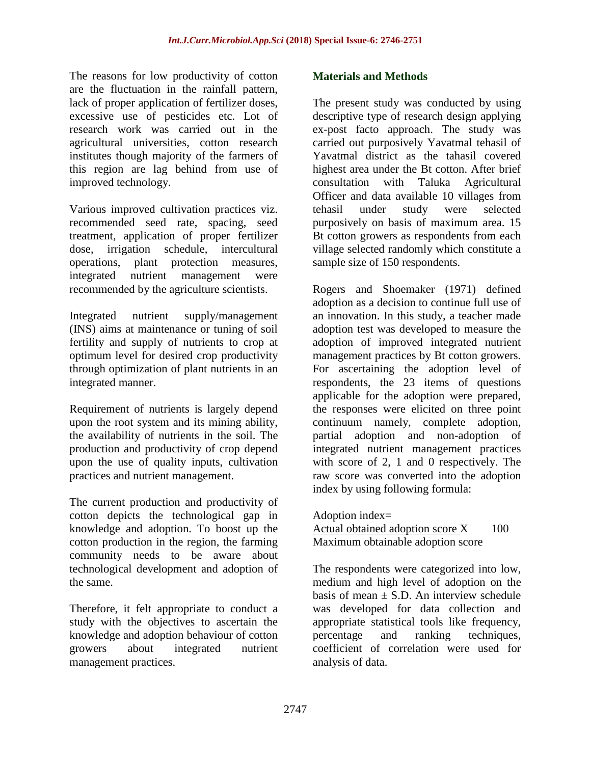The reasons for low productivity of cotton are the fluctuation in the rainfall pattern, lack of proper application of fertilizer doses, excessive use of pesticides etc. Lot of research work was carried out in the agricultural universities, cotton research institutes though majority of the farmers of this region are lag behind from use of improved technology.

Various improved cultivation practices viz. recommended seed rate, spacing, seed treatment, application of proper fertilizer dose, irrigation schedule, intercultural operations, plant protection measures, integrated nutrient management were recommended by the agriculture scientists.

Integrated nutrient supply/management (INS) aims at maintenance or tuning of soil fertility and supply of nutrients to crop at optimum level for desired crop productivity through optimization of plant nutrients in an integrated manner.

Requirement of nutrients is largely depend upon the root system and its mining ability, the availability of nutrients in the soil. The production and productivity of crop depend upon the use of quality inputs, cultivation practices and nutrient management.

The current production and productivity of cotton depicts the technological gap in knowledge and adoption. To boost up the cotton production in the region, the farming community needs to be aware about technological development and adoption of the same.

Therefore, it felt appropriate to conduct a study with the objectives to ascertain the knowledge and adoption behaviour of cotton growers about integrated nutrient management practices.

## **Materials and Methods**

The present study was conducted by using descriptive type of research design applying ex-post facto approach. The study was carried out purposively Yavatmal tehasil of Yavatmal district as the tahasil covered highest area under the Bt cotton. After brief consultation with Taluka Agricultural Officer and data available 10 villages from tehasil under study were selected purposively on basis of maximum area. 15 Bt cotton growers as respondents from each village selected randomly which constitute a sample size of 150 respondents.

Rogers and Shoemaker (1971) defined adoption as a decision to continue full use of an innovation. In this study, a teacher made adoption test was developed to measure the adoption of improved integrated nutrient management practices by Bt cotton growers. For ascertaining the adoption level of respondents, the 23 items of questions applicable for the adoption were prepared, the responses were elicited on three point continuum namely, complete adoption, partial adoption and non-adoption of integrated nutrient management practices with score of 2, 1 and 0 respectively. The raw score was converted into the adoption index by using following formula:

Adoption index=

Actual obtained adoption score  $X = 100$ Maximum obtainable adoption score

The respondents were categorized into low, medium and high level of adoption on the basis of mean  $\pm$  S.D. An interview schedule was developed for data collection and appropriate statistical tools like frequency, percentage and ranking techniques, coefficient of correlation were used for analysis of data.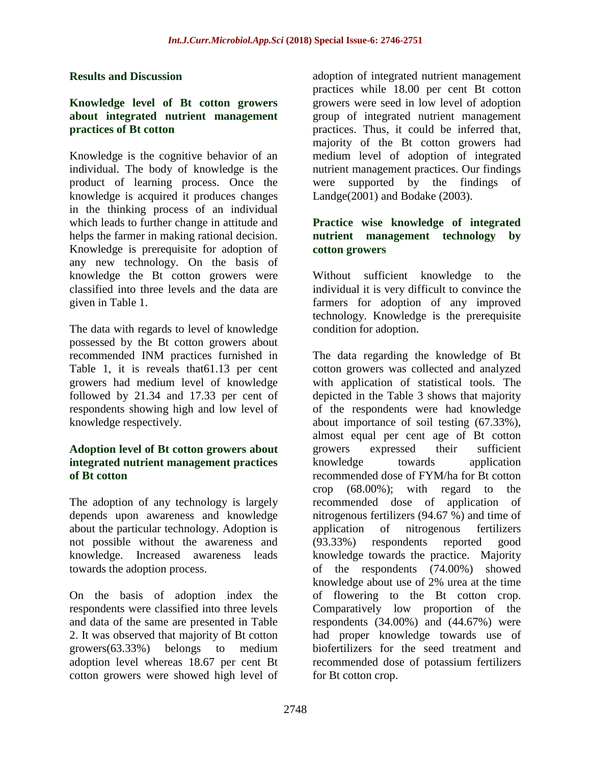### **Results and Discussion**

#### **Knowledge level of Bt cotton growers about integrated nutrient management practices of Bt cotton**

Knowledge is the cognitive behavior of an individual. The body of knowledge is the product of learning process. Once the knowledge is acquired it produces changes in the thinking process of an individual which leads to further change in attitude and helps the farmer in making rational decision. Knowledge is prerequisite for adoption of any new technology. On the basis of knowledge the Bt cotton growers were classified into three levels and the data are given in Table 1.

The data with regards to level of knowledge possessed by the Bt cotton growers about recommended INM practices furnished in Table 1, it is reveals that61.13 per cent growers had medium level of knowledge followed by 21.34 and 17.33 per cent of respondents showing high and low level of knowledge respectively.

### **Adoption level of Bt cotton growers about integrated nutrient management practices of Bt cotton**

The adoption of any technology is largely depends upon awareness and knowledge about the particular technology. Adoption is not possible without the awareness and knowledge. Increased awareness leads towards the adoption process.

On the basis of adoption index the respondents were classified into three levels and data of the same are presented in Table 2. It was observed that majority of Bt cotton growers(63.33%) belongs to medium adoption level whereas 18.67 per cent Bt cotton growers were showed high level of

adoption of integrated nutrient management practices while 18.00 per cent Bt cotton growers were seed in low level of adoption group of integrated nutrient management practices. Thus, it could be inferred that, majority of the Bt cotton growers had medium level of adoption of integrated nutrient management practices. Our findings were supported by the findings of Landge(2001) and Bodake (2003).

## **Practice wise knowledge of integrated nutrient management technology by cotton growers**

Without sufficient knowledge to the individual it is very difficult to convince the farmers for adoption of any improved technology. Knowledge is the prerequisite condition for adoption.

The data regarding the knowledge of Bt cotton growers was collected and analyzed with application of statistical tools. The depicted in the Table 3 shows that majority of the respondents were had knowledge about importance of soil testing (67.33%), almost equal per cent age of Bt cotton growers expressed their sufficient knowledge towards application recommended dose of FYM/ha for Bt cotton crop (68.00%); with regard to the recommended dose of application of nitrogenous fertilizers (94.67 %) and time of application of nitrogenous fertilizers (93.33%) respondents reported good knowledge towards the practice. Majority of the respondents (74.00%) showed knowledge about use of 2% urea at the time of flowering to the Bt cotton crop. Comparatively low proportion of the respondents  $(34.00\%)$  and  $(44.67\%)$  were had proper knowledge towards use of biofertilizers for the seed treatment and recommended dose of potassium fertilizers for Bt cotton crop.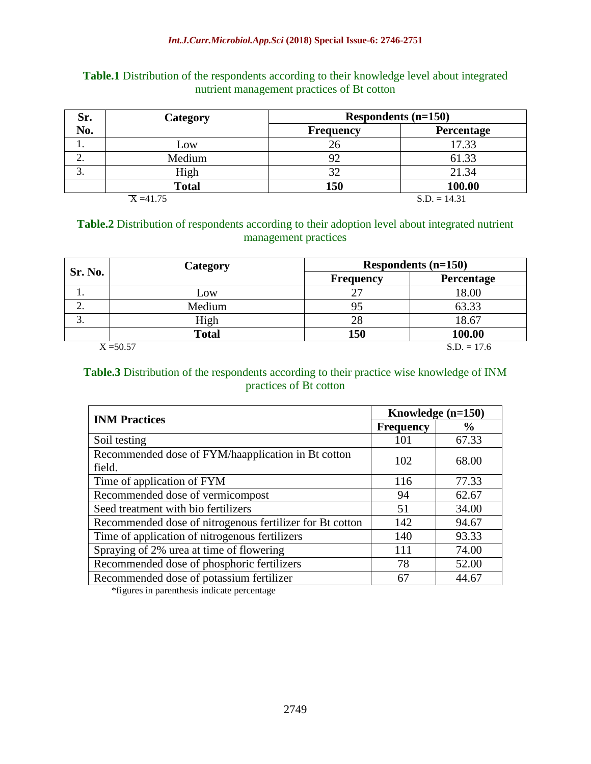| <b>Table.1</b> Distribution of the respondents according to their knowledge level about integrated |  |
|----------------------------------------------------------------------------------------------------|--|
| nutrient management practices of Bt cotton                                                         |  |

| Sr. | <b>Category</b> | Respondents $(n=150)$ |                |  |
|-----|-----------------|-----------------------|----------------|--|
| No. |                 | <b>Frequency</b>      | Percentage     |  |
| .,  | Low             | 26                    | 17.33          |  |
| ٠.  | Medium          |                       | 61.33          |  |
| c.  | High            |                       | 21.34          |  |
|     | <b>Total</b>    | 150                   | 100.00         |  |
|     | $X = 41.75$     |                       | $S.D. = 14.31$ |  |

### **Table.2** Distribution of respondents according to their adoption level about integrated nutrient management practices

| Sr. No. | Category     |                  | Respondents $(n=150)$ |  |  |
|---------|--------------|------------------|-----------------------|--|--|
|         |              | <b>Frequency</b> | Percentage            |  |  |
|         | Low          |                  | 18.00                 |  |  |
| ۷.      | Medium       |                  | 63.33                 |  |  |
| 3.      | High         | 28               | 18.67                 |  |  |
|         | <b>Total</b> | 150              | 100.00                |  |  |
|         | $X = 50.57$  |                  | $S.D. = 17.6$         |  |  |

### **Table.3** Distribution of the respondents according to their practice wise knowledge of INM practices of Bt cotton

| <b>INM Practices</b>                                     | Knowledge (n=150) |               |  |
|----------------------------------------------------------|-------------------|---------------|--|
|                                                          | <b>Frequency</b>  | $\frac{0}{0}$ |  |
| Soil testing                                             | 101               | 67.33         |  |
| Recommended dose of FYM/haapplication in Bt cotton       | 102               | 68.00         |  |
| field.                                                   |                   |               |  |
| Time of application of FYM                               | 116               | 77.33         |  |
| Recommended dose of vermicompost                         | 94                | 62.67         |  |
| Seed treatment with bio fertilizers                      | 51                | 34.00         |  |
| Recommended dose of nitrogenous fertilizer for Bt cotton | 142               | 94.67         |  |
| Time of application of nitrogenous fertilizers           | 140               | 93.33         |  |
| Spraying of 2% urea at time of flowering                 | 111               | 74.00         |  |
| Recommended dose of phosphoric fertilizers               | 78                | 52.00         |  |
| Recommended dose of potassium fertilizer                 | 67                | 44.67         |  |

\*figures in parenthesis indicate percentage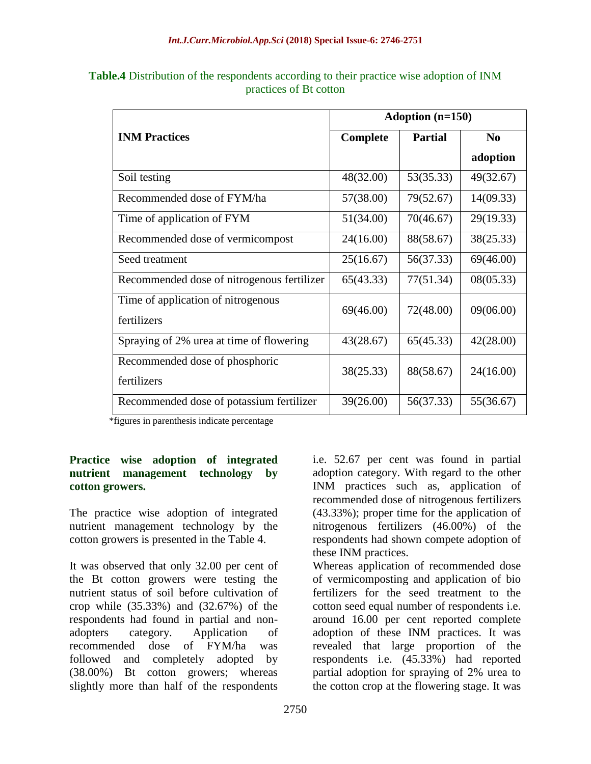|                                                   | Adoption $(n=150)$ |                |                |
|---------------------------------------------------|--------------------|----------------|----------------|
| <b>INM Practices</b>                              | Complete           | <b>Partial</b> | N <sub>0</sub> |
|                                                   |                    |                | adoption       |
| Soil testing                                      | 48(32.00)          | 53(35.33)      | 49(32.67)      |
| Recommended dose of FYM/ha                        | 57(38.00)          | 79(52.67)      | 14(09.33)      |
| Time of application of FYM                        | 51(34.00)          | 70(46.67)      | 29(19.33)      |
| Recommended dose of vermicompost                  | 24(16.00)          | 88(58.67)      | 38(25.33)      |
| Seed treatment                                    | 25(16.67)          | 56(37.33)      | 69(46.00)      |
| Recommended dose of nitrogenous fertilizer        | 65(43.33)          | 77(51.34)      | 08(05.33)      |
| Time of application of nitrogenous<br>fertilizers | 69(46.00)          | 72(48.00)      | 09(06.00)      |
| Spraying of 2% urea at time of flowering          | 43(28.67)          | 65(45.33)      | 42(28.00)      |
| Recommended dose of phosphoric<br>fertilizers     | 38(25.33)          | 88(58.67)      | 24(16.00)      |
| Recommended dose of potassium fertilizer          | 39(26.00)          | 56(37.33)      | 55(36.67)      |

**Table.4** Distribution of the respondents according to their practice wise adoption of INM practices of Bt cotton

\*figures in parenthesis indicate percentage

## **Practice wise adoption of integrated nutrient management technology by cotton growers.**

The practice wise adoption of integrated nutrient management technology by the cotton growers is presented in the Table 4.

It was observed that only 32.00 per cent of the Bt cotton growers were testing the nutrient status of soil before cultivation of crop while (35.33%) and (32.67%) of the respondents had found in partial and nonadopters category. Application of recommended dose of FYM/ha was followed and completely adopted by (38.00%) Bt cotton growers; whereas slightly more than half of the respondents

i.e. 52.67 per cent was found in partial adoption category. With regard to the other INM practices such as, application of recommended dose of nitrogenous fertilizers (43.33%); proper time for the application of nitrogenous fertilizers (46.00%) of the respondents had shown compete adoption of these INM practices.

Whereas application of recommended dose of vermicomposting and application of bio fertilizers for the seed treatment to the cotton seed equal number of respondents i.e. around 16.00 per cent reported complete adoption of these INM practices. It was revealed that large proportion of the respondents i.e. (45.33%) had reported partial adoption for spraying of 2% urea to the cotton crop at the flowering stage. It was